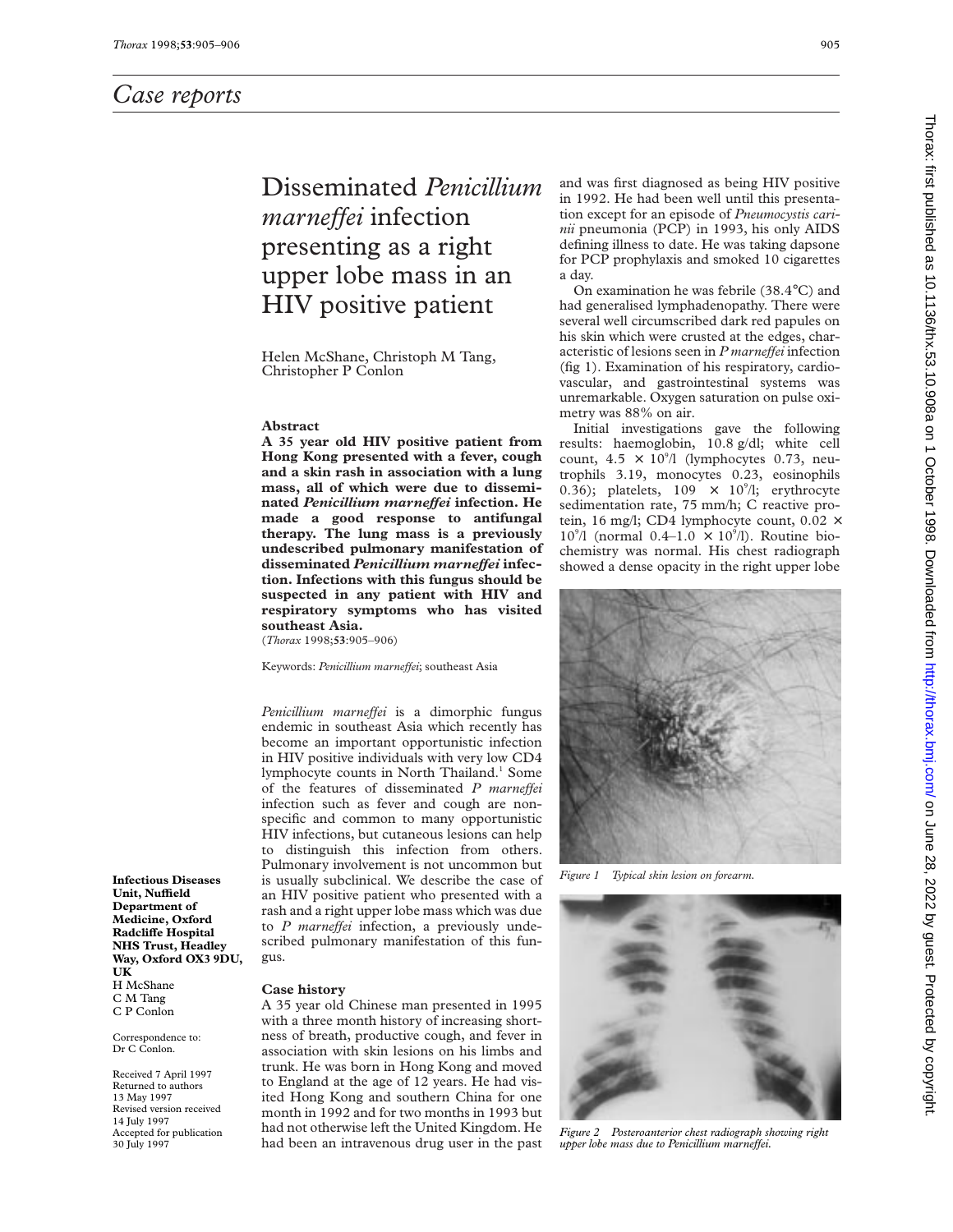# Disseminated *Penicillium marneffei* infection presenting as a right upper lobe mass in an HIV positive patient

Helen McShane, Christoph M Tang, Christopher P Conlon

#### **Abstract**

**A 35 year old HIV positive patient from Hong Kong presented with a fever, cough and a skin rash in association with a lung mass, all of which were due to disseminated** *Penicillium marneVei* **infection. He made a good response to antifungal therapy. The lung mass is a previously undescribed pulmonary manifestation of** disseminated *Penicillium marneffei* infec**tion. Infections with this fungus should be suspected in any patient with HIV and respiratory symptoms who has visited southeast Asia.**

(*Thorax* 1998;**53**:905–906)

Keywords: *Penicillium marneffei*; southeast Asia

*Penicillium marneffei* is a dimorphic fungus endemic in southeast Asia which recently has become an important opportunistic infection in HIV positive individuals with very low CD4 lymphocyte counts in North Thailand.<sup>1</sup> Some of the features of disseminated *P marneffei* infection such as fever and cough are nonspecific and common to many opportunistic HIV infections, but cutaneous lesions can help to distinguish this infection from others. Pulmonary involvement is not uncommon but is usually subclinical. We describe the case of an HIV positive patient who presented with a rash and a right upper lobe mass which was due to *P* marneffei infection, a previously undescribed pulmonary manifestation of this fungus.

**Infectious Diseases Unit, NuYeld Department of Medicine, Oxford Radcliffe Hospital NHS Trust, Headley Way, Oxford OX3 9DU, UK** H McShane C M Tang C P Conlon

Correspondence to: Dr C Conlon.

Received 7 April 1997 Returned to authors 13 May 1997 Revised version received 14 July 1997 Accepted for publication 30 July 1997

#### **Case history**

A 35 year old Chinese man presented in 1995 with a three month history of increasing shortness of breath, productive cough, and fever in association with skin lesions on his limbs and trunk. He was born in Hong Kong and moved to England at the age of 12 years. He had visited Hong Kong and southern China for one month in 1992 and for two months in 1993 but had not otherwise left the United Kingdom. He had been an intravenous drug user in the past and was first diagnosed as being HIV positive in 1992. He had been well until this presentation except for an episode of *Pneumocystis carinii* pneumonia (PCP) in 1993, his only AIDS defining illness to date. He was taking dapsone for PCP prophylaxis and smoked 10 cigarettes a day.

On examination he was febrile (38.4°C) and had generalised lymphadenopathy. There were several well circumscribed dark red papules on his skin which were crusted at the edges, characteristic of lesions seen in *P marneffei* infection (fig 1). Examination of his respiratory, cardiovascular, and gastrointestinal systems was unremarkable. Oxygen saturation on pulse oximetry was 88% on air.

Initial investigations gave the following results: haemoglobin, 10.8 g/dl; white cell count,  $4.5 \times 10^{9}$ /l (lymphocytes 0.73, neutrophils 3.19, monocytes 0.23, eosinophils 0.36); platelets,  $109 \times 10^{9}/l$ ; erythrocyte sedimentation rate, 75 mm/h; C reactive protein, 16 mg/l; CD4 lymphocyte count,  $0.02 \times$  $10^{\circ}/1$  (normal  $0.4-1.0 \times 10^{\circ}/1$ ). Routine biochemistry was normal. His chest radiograph showed a dense opacity in the right upper lobe



*Figure 1 Typical skin lesion on forearm.*



*Figure 2 Posteroanterior chest radiograph showing right upper lobe mass due to Penicillium marneffei.*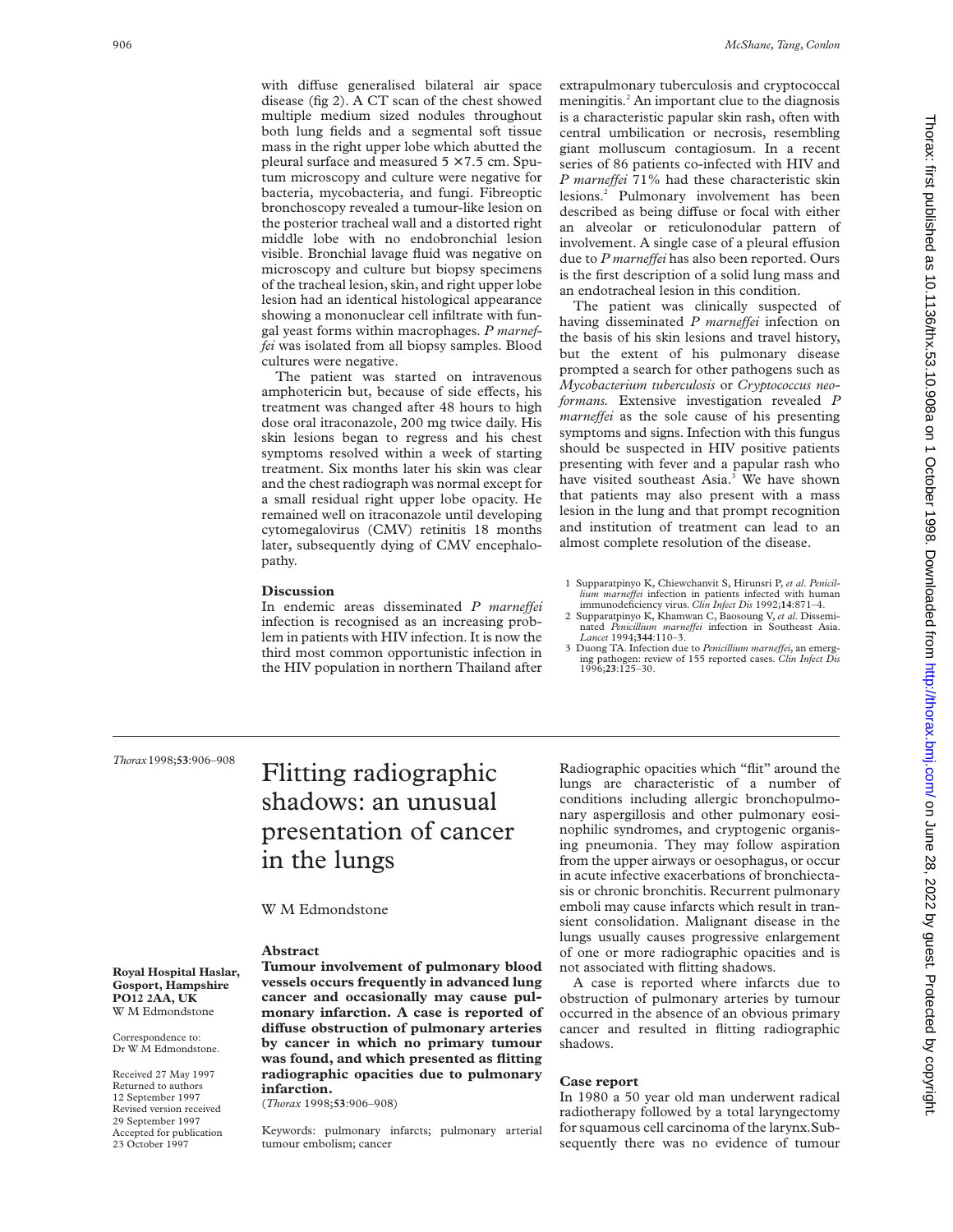with diffuse generalised bilateral air space disease (fig 2). A CT scan of the chest showed multiple medium sized nodules throughout both lung fields and a segmental soft tissue mass in the right upper lobe which abutted the pleural surface and measured  $5 \times 7.5$  cm. Sputum microscopy and culture were negative for bacteria, mycobacteria, and fungi. Fibreoptic bronchoscopy revealed a tumour-like lesion on the posterior tracheal wall and a distorted right middle lobe with no endobronchial lesion visible. Bronchial lavage fluid was negative on microscopy and culture but biopsy specimens of the tracheal lesion, skin, and right upper lobe lesion had an identical histological appearance showing a mononuclear cell infiltrate with fungal yeast forms within macrophages. *P marneffei* was isolated from all biopsy samples. Blood cultures were negative.

The patient was started on intravenous amphotericin but, because of side effects, his treatment was changed after 48 hours to high dose oral itraconazole, 200 mg twice daily. His skin lesions began to regress and his chest symptoms resolved within a week of starting treatment. Six months later his skin was clear and the chest radiograph was normal except for a small residual right upper lobe opacity. He remained well on itraconazole until developing cytomegalovirus (CMV) retinitis 18 months later, subsequently dying of CMV encephalopathy.

#### **Discussion**

In endemic areas disseminated *P marneffei* infection is recognised as an increasing problem in patients with HIV infection. It is now the third most common opportunistic infection in the HIV population in northern Thailand after extrapulmonary tuberculosis and cryptococcal meningitis.<sup>2</sup> An important clue to the diagnosis is a characteristic papular skin rash, often with central umbilication or necrosis, resembling giant molluscum contagiosum. In a recent series of 86 patients co-infected with HIV and *P marneffei* 71% had these characteristic skin lesions.2 Pulmonary involvement has been described as being diffuse or focal with either an alveolar or reticulonodular pattern of involvement. A single case of a pleural effusion due to *P* marneffei has also been reported. Ours is the first description of a solid lung mass and an endotracheal lesion in this condition.

The patient was clinically suspected of having disseminated *P marneffei* infection on the basis of his skin lesions and travel history, but the extent of his pulmonary disease prompted a search for other pathogens such as *Mycobacterium tuberculosis* or *Cryptococcus neoformans.* Extensive investigation revealed *P marneffei* as the sole cause of his presenting symptoms and signs. Infection with this fungus should be suspected in HIV positive patients presenting with fever and a papular rash who have visited southeast Asia.<sup>3</sup> We have shown that patients may also present with a mass lesion in the lung and that prompt recognition and institution of treatment can lead to an almost complete resolution of the disease.

- 1 Supparatpinyo K, Chiewchanvit S, Hirunsri P, *et al*. *Penicillium marneVei* infection in patients infected with human immunodeficiency virus. *Clin Infect Dis* 1992;**14**:871–4.
- 2 Supparatpinyo K, Khamwan C, Baosoung V, *et al*. Disseminated *Penicillium marneffei* infection in Southeast Asia.<br>Lancet 1994;**344**:110–3.
- 3 Duong TA. Infection due to *Penicillium marneffei*, an emerging pathogen: review of 155 reported cases. *Clin Infect Dis* 1996;**23**:125–30.

#### *Thorax*1998;**53**:906–908

**Royal Hospital Haslar, Gosport, Hampshire PO12 2AA, UK** W M Edmondstone Correspondence to: Dr W M Edmondstone. Received 27 May 1997 Returned to authors 12 September 1997 Revised version received 29 September 1997 Accepted for publication 23 October 1997

# Flitting radiographic shadows: an unusual presentation of cancer in the lungs

#### W M Edmondstone

#### **Abstract**

**Tumour involvement of pulmonary blood vessels occurs frequently in advanced lung cancer and occasionally may cause pulmonary infarction. A case is reported of diVuse obstruction of pulmonary arteries by cancer in which no primary tumour was found, and which presented as flitting radiographic opacities due to pulmonary infarction.**

(*Thorax* 1998;**53**:906–908)

Keywords: pulmonary infarcts; pulmonary arterial tumour embolism; cancer

Radiographic opacities which "flit" around the lungs are characteristic of a number of conditions including allergic bronchopulmonary aspergillosis and other pulmonary eosinophilic syndromes, and cryptogenic organising pneumonia. They may follow aspiration from the upper airways or oesophagus, or occur in acute infective exacerbations of bronchiectasis or chronic bronchitis. Recurrent pulmonary emboli may cause infarcts which result in transient consolidation. Malignant disease in the lungs usually causes progressive enlargement of one or more radiographic opacities and is not associated with flitting shadows.

A case is reported where infarcts due to obstruction of pulmonary arteries by tumour occurred in the absence of an obvious primary cancer and resulted in flitting radiographic shadows.

#### **Case report**

In 1980 a 50 year old man underwent radical radiotherapy followed by a total laryngectomy for squamous cell carcinoma of the larynx.Subsequently there was no evidence of tumour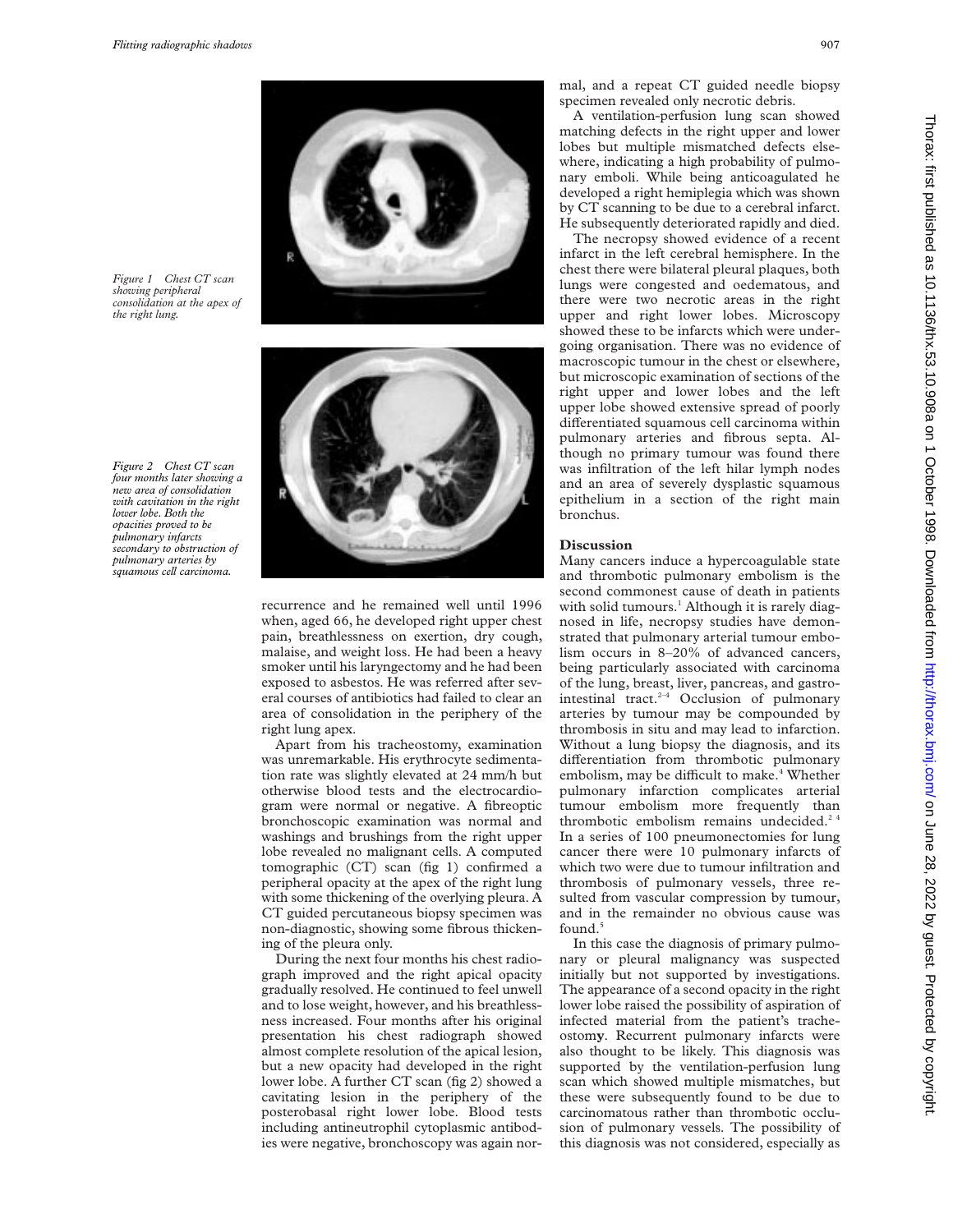*Figure 1 Chest CT scan showing peripheral consolidation at the apex of the right lung.*

*Figure 2 Chest CT scan four months later showing a new area of consolidation with cavitation in the right lower lobe. Both the opacities proved to be pulmonary infarcts secondary to obstruction of pulmonary arteries by squamous cell carcinoma.*





recurrence and he remained well until 1996 when, aged 66, he developed right upper chest pain, breathlessness on exertion, dry cough, malaise, and weight loss. He had been a heavy smoker until his laryngectomy and he had been exposed to asbestos. He was referred after several courses of antibiotics had failed to clear an area of consolidation in the periphery of the right lung apex.

Apart from his tracheostomy, examination was unremarkable. His erythrocyte sedimentation rate was slightly elevated at 24 mm/h but otherwise blood tests and the electrocardiogram were normal or negative. A fibreoptic bronchoscopic examination was normal and washings and brushings from the right upper lobe revealed no malignant cells. A computed tomographic (CT) scan (fig 1) confirmed a peripheral opacity at the apex of the right lung with some thickening of the overlying pleura. A CT guided percutaneous biopsy specimen was non-diagnostic, showing some fibrous thickening of the pleura only.

During the next four months his chest radiograph improved and the right apical opacity gradually resolved. He continued to feel unwell and to lose weight, however, and his breathlessness increased. Four months after his original presentation his chest radiograph showed almost complete resolution of the apical lesion, but a new opacity had developed in the right lower lobe. A further CT scan (fig 2) showed a cavitating lesion in the periphery of the posterobasal right lower lobe. Blood tests including antineutrophil cytoplasmic antibodies were negative, bronchoscopy was again normal, and a repeat CT guided needle biopsy specimen revealed only necrotic debris.

A ventilation-perfusion lung scan showed matching defects in the right upper and lower lobes but multiple mismatched defects elsewhere, indicating a high probability of pulmonary emboli. While being anticoagulated he developed a right hemiplegia which was shown by CT scanning to be due to a cerebral infarct. He subsequently deteriorated rapidly and died.

The necropsy showed evidence of a recent infarct in the left cerebral hemisphere. In the chest there were bilateral pleural plaques, both lungs were congested and oedematous, and there were two necrotic areas in the right upper and right lower lobes. Microscopy showed these to be infarcts which were undergoing organisation. There was no evidence of macroscopic tumour in the chest or elsewhere, but microscopic examination of sections of the right upper and lower lobes and the left upper lobe showed extensive spread of poorly differentiated squamous cell carcinoma within pulmonary arteries and fibrous septa. Although no primary tumour was found there was infiltration of the left hilar lymph nodes and an area of severely dysplastic squamous epithelium in a section of the right main bronchus.

#### **Discussion**

Many cancers induce a hypercoagulable state and thrombotic pulmonary embolism is the second commonest cause of death in patients with solid tumours.<sup>1</sup> Although it is rarely diagnosed in life, necropsy studies have demonstrated that pulmonary arterial tumour embolism occurs in 8–20% of advanced cancers, being particularly associated with carcinoma of the lung, breast, liver, pancreas, and gastrointestinal tract.<sup>2-4</sup> Occlusion of pulmonary arteries by tumour may be compounded by thrombosis in situ and may lead to infarction. Without a lung biopsy the diagnosis, and its differentiation from thrombotic pulmonary embolism, may be difficult to make.<sup>4</sup> Whether pulmonary infarction complicates arterial tumour embolism more frequently than thrombotic embolism remains undecided.<sup>24</sup> In a series of 100 pneumonectomies for lung cancer there were 10 pulmonary infarcts of which two were due to tumour infiltration and thrombosis of pulmonary vessels, three resulted from vascular compression by tumour, and in the remainder no obvious cause was found.<sup>5</sup>

In this case the diagnosis of primary pulmonary or pleural malignancy was suspected initially but not supported by investigations. The appearance of a second opacity in the right lower lobe raised the possibility of aspiration of infected material from the patient's tracheostom**y**. Recurrent pulmonary infarcts were also thought to be likely. This diagnosis was supported by the ventilation-perfusion lung scan which showed multiple mismatches, but these were subsequently found to be due to carcinomatous rather than thrombotic occlusion of pulmonary vessels. The possibility of this diagnosis was not considered, especially as